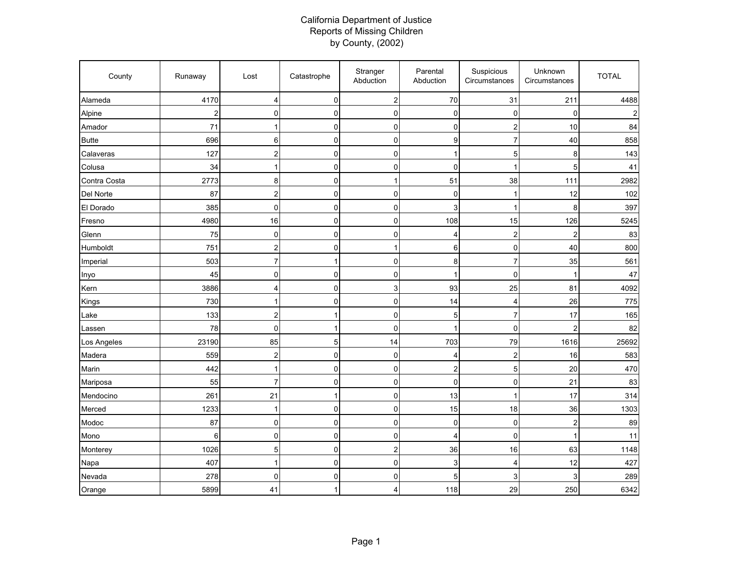## California Department of Justice Reports of Missing Children by County, (2002)

| County       | Runaway        | Lost           | Catastrophe | Stranger<br>Abduction     | Parental<br>Abduction     | Suspicious<br>Circumstances | Unknown<br>Circumstances | <b>TOTAL</b> |
|--------------|----------------|----------------|-------------|---------------------------|---------------------------|-----------------------------|--------------------------|--------------|
| Alameda      | 4170           | 4              | $\mathbf 0$ | $\overline{\mathbf{c}}$   | 70                        | 31                          | 211                      | 4488         |
| Alpine       | $\overline{a}$ | $\pmb{0}$      | $\mathbf 0$ | 0                         | $\pmb{0}$                 | $\mathbf 0$                 | $\mathbf 0$              |              |
| Amador       | 71             | 1              | 0           | $\pmb{0}$                 | 0                         | $\overline{c}$              | 10                       | 84           |
| <b>Butte</b> | 696            | 6              | 0           | $\mathbf 0$               | 9                         | $\overline{7}$              | 40                       | 858          |
| Calaveras    | 127            | $\overline{a}$ | 0           | $\mathsf 0$               | $\mathbf 1$               | $\mathbf 5$                 | 8                        | 143          |
| Colusa       | 34             | 1              | $\mathbf 0$ | 0                         | $\mathbf 0$               | 1                           | 5                        | 41           |
| Contra Costa | 2773           | 8              | 0           | 1                         | 51                        | 38                          | 111                      | 2982         |
| Del Norte    | 87             | $\overline{a}$ | 0           | 0                         | $\mathbf 0$               | $\mathbf{1}$                | 12                       | 102          |
| El Dorado    | 385            | $\pmb{0}$      | $\mathbf 0$ | $\mathbf 0$               | $\ensuremath{\mathsf{3}}$ | $\mathbf{1}$                | 8                        | 397          |
| Fresno       | 4980           | 16             | 0           | $\mathsf 0$               | 108                       | 15                          | 126                      | 5245         |
| Glenn        | 75             | $\mathbf 0$    | 0           | $\mathbf 0$               | 4                         | $\overline{c}$              | $\overline{c}$           | 83           |
| Humboldt     | 751            | $\overline{a}$ | 0           | $\mathbf{1}$              | 6                         | $\pmb{0}$                   | 40                       | 800          |
| Imperial     | 503            | $\overline{7}$ | 1           | $\mathbf 0$               | 8                         | $\overline{7}$              | 35                       | 561          |
| Inyo         | 45             | 0              | 0           | $\mathbf 0$               | 1                         | $\mathbf 0$                 |                          | 47           |
| Kern         | 3886           | 4              | 0           | $\ensuremath{\mathsf{3}}$ | 93                        | 25                          | 81                       | 4092         |
| Kings        | 730            | 1              | 0           | 0                         | 14                        | $\overline{4}$              | 26                       | 775          |
| Lake         | 133            | $\overline{a}$ |             | $\mathbf 0$               | 5                         | $\overline{7}$              | 17                       | 165          |
| Lassen       | 78             | 0              | 1           | $\mathbf 0$               |                           | $\mathbf 0$                 | $\overline{2}$           | 82           |
| Los Angeles  | 23190          | 85             | 5           | 14                        | 703                       | 79                          | 1616                     | 25692        |
| Madera       | 559            | $\overline{c}$ | $\mathbf 0$ | $\mathbf 0$               | $\overline{4}$            | $\overline{c}$              | 16                       | 583          |
| Marin        | 442            | $\mathbf{1}$   | 0           | $\mathbf 0$               | $\boldsymbol{2}$          | 5                           | 20                       | 470          |
| Mariposa     | 55             | $\overline{7}$ | 0           | $\mathsf 0$               | $\pmb{0}$                 | $\mathbf 0$                 | 21                       | 83           |
| Mendocino    | 261            | 21             | 1           | $\mathbf 0$               | 13                        | 1                           | 17                       | 314          |
| Merced       | 1233           | 1              | 0           | $\mathsf 0$               | 15                        | 18                          | 36                       | 1303         |
| Modoc        | 87             | $\mathbf 0$    | 0           | $\mathbf 0$               | 0                         | $\mathbf 0$                 | $\overline{2}$           | 89           |
| Mono         | 6              | $\mathbf 0$    | 0           | $\pmb{0}$                 | 4                         | $\mathbf 0$                 | 1                        | 11           |
| Monterey     | 1026           | 5              | 0           | $\mathbf 2$               | 36                        | 16                          | 63                       | 1148         |
| Napa         | 407            | 1              | $\mathbf 0$ | $\mathbf 0$               | $\ensuremath{\mathsf{3}}$ | 4                           | 12                       | 427          |
| Nevada       | 278            | 0              | 0           | 0                         | 5                         | 3                           | 3                        | 289          |
| Orange       | 5899           | 41             | 1           | 4                         | 118                       | 29                          | 250                      | 6342         |